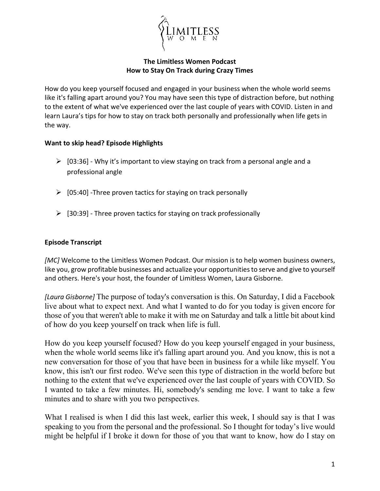

## **The Limitless Women Podcast How to Stay On Track during Crazy Times**

How do you keep yourself focused and engaged in your business when the whole world seems like it's falling apart around you? You may have seen this type of distraction before, but nothing to the extent of what we've experienced over the last couple of years with COVID. Listen in and learn Laura's tips for how to stay on track both personally and professionally when life gets in the way.

## **Want to skip head? Episode Highlights**

- $\triangleright$  [03:36] Why it's important to view staying on track from a personal angle and a professional angle
- $\triangleright$  [05:40] -Three proven tactics for staying on track personally
- $\triangleright$  [30:39] Three proven tactics for staying on track professionally

## **Episode Transcript**

*[MC]* Welcome to the Limitless Women Podcast. Our mission is to help women business owners, like you, grow profitable businesses and actualize your opportunities to serve and give to yourself and others. Here's your host, the founder of Limitless Women, Laura Gisborne.

*[Laura Gisborne]* The purpose of today's conversation is this. On Saturday, I did a Facebook live about what to expect next. And what I wanted to do for you today is given encore for those of you that weren't able to make it with me on Saturday and talk a little bit about kind of how do you keep yourself on track when life is full.

How do you keep yourself focused? How do you keep yourself engaged in your business, when the whole world seems like it's falling apart around you. And you know, this is not a new conversation for those of you that have been in business for a while like myself. You know, this isn't our first rodeo. We've seen this type of distraction in the world before but nothing to the extent that we've experienced over the last couple of years with COVID. So I wanted to take a few minutes. Hi, somebody's sending me love. I want to take a few minutes and to share with you two perspectives.

What I realised is when I did this last week, earlier this week, I should say is that I was speaking to you from the personal and the professional. So I thought for today's live would might be helpful if I broke it down for those of you that want to know, how do I stay on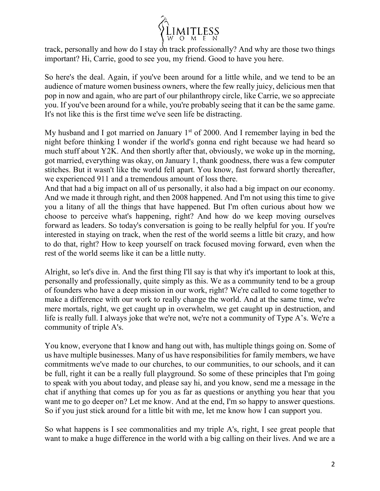

track, personally and how do I stay on track professionally? And why are those two things important? Hi, Carrie, good to see you, my friend. Good to have you here.

So here's the deal. Again, if you've been around for a little while, and we tend to be an audience of mature women business owners, where the few really juicy, delicious men that pop in now and again, who are part of our philanthropy circle, like Carrie, we so appreciate you. If you've been around for a while, you're probably seeing that it can be the same game. It's not like this is the first time we've seen life be distracting.

My husband and I got married on January  $1<sup>st</sup>$  of 2000. And I remember laying in bed the night before thinking I wonder if the world's gonna end right because we had heard so much stuff about Y2K. And then shortly after that, obviously, we woke up in the morning, got married, everything was okay, on January 1, thank goodness, there was a few computer stitches. But it wasn't like the world fell apart. You know, fast forward shortly thereafter, we experienced 911 and a tremendous amount of loss there.

And that had a big impact on all of us personally, it also had a big impact on our economy. And we made it through right, and then 2008 happened. And I'm not using this time to give you a litany of all the things that have happened. But I'm often curious about how we choose to perceive what's happening, right? And how do we keep moving ourselves forward as leaders. So today's conversation is going to be really helpful for you. If you're interested in staying on track, when the rest of the world seems a little bit crazy, and how to do that, right? How to keep yourself on track focused moving forward, even when the rest of the world seems like it can be a little nutty.

Alright, so let's dive in. And the first thing I'll say is that why it's important to look at this, personally and professionally, quite simply as this. We as a community tend to be a group of founders who have a deep mission in our work, right? We're called to come together to make a difference with our work to really change the world. And at the same time, we're mere mortals, right, we get caught up in overwhelm, we get caught up in destruction, and life is really full. I always joke that we're not, we're not a community of Type A's. We're a community of triple A's.

You know, everyone that I know and hang out with, has multiple things going on. Some of us have multiple businesses. Many of us have responsibilities for family members, we have commitments we've made to our churches, to our communities, to our schools, and it can be full, right it can be a really full playground. So some of these principles that I'm going to speak with you about today, and please say hi, and you know, send me a message in the chat if anything that comes up for you as far as questions or anything you hear that you want me to go deeper on? Let me know. And at the end, I'm so happy to answer questions. So if you just stick around for a little bit with me, let me know how I can support you.

So what happens is I see commonalities and my triple A's, right, I see great people that want to make a huge difference in the world with a big calling on their lives. And we are a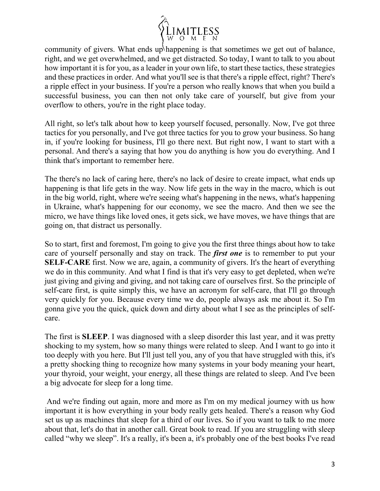

community of givers. What ends up happening is that sometimes we get out of balance, right, and we get overwhelmed, and we get distracted. So today, I want to talk to you about how important it is for you, as a leader in your own life, to start these tactics, these strategies and these practices in order. And what you'll see is that there's a ripple effect, right? There's a ripple effect in your business. If you're a person who really knows that when you build a successful business, you can then not only take care of yourself, but give from your overflow to others, you're in the right place today.

All right, so let's talk about how to keep yourself focused, personally. Now, I've got three tactics for you personally, and I've got three tactics for you to grow your business. So hang in, if you're looking for business, I'll go there next. But right now, I want to start with a personal. And there's a saying that how you do anything is how you do everything. And I think that's important to remember here.

The there's no lack of caring here, there's no lack of desire to create impact, what ends up happening is that life gets in the way. Now life gets in the way in the macro, which is out in the big world, right, where we're seeing what's happening in the news, what's happening in Ukraine, what's happening for our economy, we see the macro. And then we see the micro, we have things like loved ones, it gets sick, we have moves, we have things that are going on, that distract us personally.

So to start, first and foremost, I'm going to give you the first three things about how to take care of yourself personally and stay on track. The *first one* is to remember to put your **SELF-CARE** first. Now we are, again, a community of givers. It's the heart of everything we do in this community. And what I find is that it's very easy to get depleted, when we're just giving and giving and giving, and not taking care of ourselves first. So the principle of self-care first, is quite simply this, we have an acronym for self-care, that I'll go through very quickly for you. Because every time we do, people always ask me about it. So I'm gonna give you the quick, quick down and dirty about what I see as the principles of selfcare.

The first is **SLEEP**. I was diagnosed with a sleep disorder this last year, and it was pretty shocking to my system, how so many things were related to sleep. And I want to go into it too deeply with you here. But I'll just tell you, any of you that have struggled with this, it's a pretty shocking thing to recognize how many systems in your body meaning your heart, your thyroid, your weight, your energy, all these things are related to sleep. And I've been a big advocate for sleep for a long time.

And we're finding out again, more and more as I'm on my medical journey with us how important it is how everything in your body really gets healed. There's a reason why God set us up as machines that sleep for a third of our lives. So if you want to talk to me more about that, let's do that in another call. Great book to read. If you are struggling with sleep called "why we sleep". It's a really, it's been a, it's probably one of the best books I've read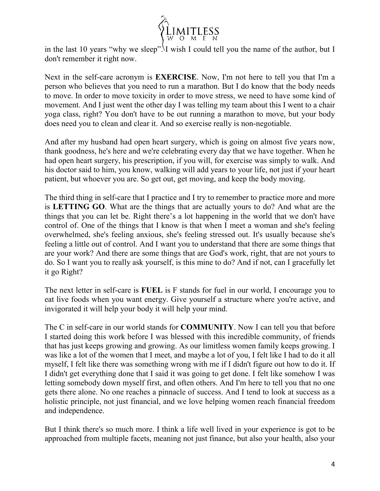

in the last 10 years "why we sleep". I wish I could tell you the name of the author, but I don't remember it right now.

Next in the self-care acronym is **EXERCISE**. Now, I'm not here to tell you that I'm a person who believes that you need to run a marathon. But I do know that the body needs to move. In order to move toxicity in order to move stress, we need to have some kind of movement. And I just went the other day I was telling my team about this I went to a chair yoga class, right? You don't have to be out running a marathon to move, but your body does need you to clean and clear it. And so exercise really is non-negotiable.

And after my husband had open heart surgery, which is going on almost five years now, thank goodness, he's here and we're celebrating every day that we have together. When he had open heart surgery, his prescription, if you will, for exercise was simply to walk. And his doctor said to him, you know, walking will add years to your life, not just if your heart patient, but whoever you are. So get out, get moving, and keep the body moving.

The third thing in self-care that I practice and I try to remember to practice more and more is **LETTING GO**. What are the things that are actually yours to do? And what are the things that you can let be. Right there's a lot happening in the world that we don't have control of. One of the things that I know is that when I meet a woman and she's feeling overwhelmed, she's feeling anxious, she's feeling stressed out. It's usually because she's feeling a little out of control. And I want you to understand that there are some things that are your work? And there are some things that are God's work, right, that are not yours to do. So I want you to really ask yourself, is this mine to do? And if not, can I gracefully let it go Right?

The next letter in self-care is **FUEL** is F stands for fuel in our world, I encourage you to eat live foods when you want energy. Give yourself a structure where you're active, and invigorated it will help your body it will help your mind.

The C in self-care in our world stands for **COMMUNITY**. Now I can tell you that before I started doing this work before I was blessed with this incredible community, of friends that has just keeps growing and growing. As our limitless women family keeps growing. I was like a lot of the women that I meet, and maybe a lot of you, I felt like I had to do it all myself, I felt like there was something wrong with me if I didn't figure out how to do it. If I didn't get everything done that I said it was going to get done. I felt like somehow I was letting somebody down myself first, and often others. And I'm here to tell you that no one gets there alone. No one reaches a pinnacle of success. And I tend to look at success as a holistic principle, not just financial, and we love helping women reach financial freedom and independence.

But I think there's so much more. I think a life well lived in your experience is got to be approached from multiple facets, meaning not just finance, but also your health, also your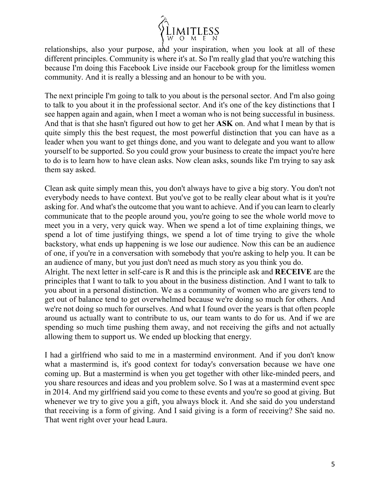

relationships, also your purpose, and your inspiration, when you look at all of these different principles. Community is where it's at. So I'm really glad that you're watching this because I'm doing this Facebook Live inside our Facebook group for the limitless women community. And it is really a blessing and an honour to be with you.

The next principle I'm going to talk to you about is the personal sector. And I'm also going to talk to you about it in the professional sector. And it's one of the key distinctions that I see happen again and again, when I meet a woman who is not being successful in business. And that is that she hasn't figured out how to get her **ASK** on. And what I mean by that is quite simply this the best request, the most powerful distinction that you can have as a leader when you want to get things done, and you want to delegate and you want to allow yourself to be supported. So you could grow your business to create the impact you're here to do is to learn how to have clean asks. Now clean asks, sounds like I'm trying to say ask them say asked.

Clean ask quite simply mean this, you don't always have to give a big story. You don't not everybody needs to have context. But you've got to be really clear about what is it you're asking for. And what's the outcome that you want to achieve. And if you can learn to clearly communicate that to the people around you, you're going to see the whole world move to meet you in a very, very quick way. When we spend a lot of time explaining things, we spend a lot of time justifying things, we spend a lot of time trying to give the whole backstory, what ends up happening is we lose our audience. Now this can be an audience of one, if you're in a conversation with somebody that you're asking to help you. It can be an audience of many, but you just don't need as much story as you think you do.

Alright. The next letter in self-care is R and this is the principle ask and **RECEIVE** are the principles that I want to talk to you about in the business distinction. And I want to talk to you about in a personal distinction. We as a community of women who are givers tend to get out of balance tend to get overwhelmed because we're doing so much for others. And we're not doing so much for ourselves. And what I found over the years is that often people around us actually want to contribute to us, our team wants to do for us. And if we are spending so much time pushing them away, and not receiving the gifts and not actually allowing them to support us. We ended up blocking that energy.

I had a girlfriend who said to me in a mastermind environment. And if you don't know what a mastermind is, it's good context for today's conversation because we have one coming up. But a mastermind is when you get together with other like-minded peers, and you share resources and ideas and you problem solve. So I was at a mastermind event spec in 2014. And my girlfriend said you come to these events and you're so good at giving. But whenever we try to give you a gift, you always block it. And she said do you understand that receiving is a form of giving. And I said giving is a form of receiving? She said no. That went right over your head Laura.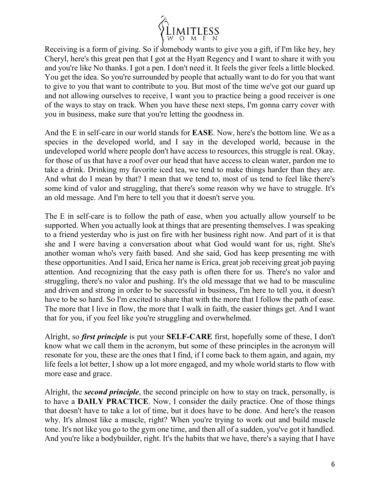

Receiving is a form of giving. So if somebody wants to give you a gift, if I'm like hey, hey Cheryl, here's this great pen that I got at the Hyatt Regency and I want to share it with you and you're like No thanks. I got a pen. I don't need it. It feels the giver feels a little blocked. You get the idea. So you're surrounded by people that actually want to do for you that want to give to you that want to contribute to you. But most of the time we've got our guard up and not allowing ourselves to receive, I want you to practice being a good receiver is one of the ways to stay on track. When you have these next steps, I'm gonna carry cover with you in business, make sure that you're letting the goodness in.

And the E in self-care in our world stands for **EASE**. Now, here's the bottom line. We as a species in the developed world, and I say in the developed world, because in the undeveloped world where people don't have access to resources, this struggle is real. Okay, for those of us that have a roof over our head that have access to clean water, pardon me to take a drink. Drinking my favorite iced tea, we tend to make things harder than they are. And what do I mean by that? I mean that we tend to, most of us tend to feel like there's some kind of valor and struggling, that there's some reason why we have to struggle. It's an old message. And I'm here to tell you that it doesn't serve you.

The E in self-care is to follow the path of ease, when you actually allow yourself to be supported. When you actually look at things that are presenting themselves. I was speaking to a friend yesterday who is just on fire with her business right now. And part of it is that she and I were having a conversation about what God would want for us, right. She's another woman who's very faith based. And she said, God has keep presenting me with these opportunities. And I said, Erica her name is Erica, great job receiving great job paying attention. And recognizing that the easy path is often there for us. There's no valor and struggling, there's no valor and pushing. It's the old message that we had to be masculine and driven and strong in order to be successful in business, I'm here to tell you, it doesn't have to be so hard. So I'm excited to share that with the more that I follow the path of ease. The more that I live in flow, the more that I walk in faith, the easier things get. And I want that for you, if you feel like you're struggling and overwhelmed.

Alright, so *first principle* is put your **SELF-CARE** first, hopefully some of these, I don't know what we call them in the acronym, but some of these principles in the acronym will resonate for you, these are the ones that I find, if I come back to them again, and again, my life feels a lot better, I show up a lot more engaged, and my whole world starts to flow with more ease and grace.

Alright, the *second principle*, the second principle on how to stay on track, personally, is to have a **DAILY PRACTICE**. Now, I consider the daily practice. One of those things that doesn't have to take a lot of time, but it does have to be done. And here's the reason why. It's almost like a muscle, right? When you're trying to work out and build muscle tone. It's not like you go to the gym one time, and then all of a sudden, you've got it handled. And you're like a bodybuilder, right. It's the habits that we have, there's a saying that I have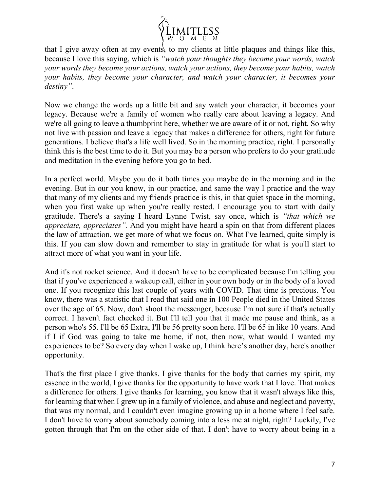

that I give away often at my events, to my clients at little plaques and things like this, because I love this saying, which is *"watch your thoughts they become your words, watch your words they become your actions, watch your actions, they become your habits, watch your habits, they become your character, and watch your character, it becomes your destiny"*.

Now we change the words up a little bit and say watch your character, it becomes your legacy. Because we're a family of women who really care about leaving a legacy. And we're all going to leave a thumbprint here, whether we are aware of it or not, right. So why not live with passion and leave a legacy that makes a difference for others, right for future generations. I believe that's a life well lived. So in the morning practice, right. I personally think this is the best time to do it. But you may be a person who prefers to do your gratitude and meditation in the evening before you go to bed.

In a perfect world. Maybe you do it both times you maybe do in the morning and in the evening. But in our you know, in our practice, and same the way I practice and the way that many of my clients and my friends practice is this, in that quiet space in the morning, when you first wake up when you're really rested. I encourage you to start with daily gratitude. There's a saying I heard Lynne Twist, say once, which is *"that which we appreciate, appreciates".* And you might have heard a spin on that from different places the law of attraction, we get more of what we focus on. What I've learned, quite simply is this. If you can slow down and remember to stay in gratitude for what is you'll start to attract more of what you want in your life.

And it's not rocket science. And it doesn't have to be complicated because I'm telling you that if you've experienced a wakeup call, either in your own body or in the body of a loved one. If you recognize this last couple of years with COVID. That time is precious. You know, there was a statistic that I read that said one in 100 People died in the United States over the age of 65. Now, don't shoot the messenger, because I'm not sure if that's actually correct. I haven't fact checked it. But I'll tell you that it made me pause and think, as a person who's 55. I'll be 65 Extra, I'll be 56 pretty soon here. I'll be 65 in like 10 years. And if I if God was going to take me home, if not, then now, what would I wanted my experiences to be? So every day when I wake up, I think here's another day, here's another opportunity.

That's the first place I give thanks. I give thanks for the body that carries my spirit, my essence in the world, I give thanks for the opportunity to have work that I love. That makes a difference for others. I give thanks for learning, you know that it wasn't always like this, for learning that when I grew up in a family of violence, and abuse and neglect and poverty, that was my normal, and I couldn't even imagine growing up in a home where I feel safe. I don't have to worry about somebody coming into a less me at night, right? Luckily, I've gotten through that I'm on the other side of that. I don't have to worry about being in a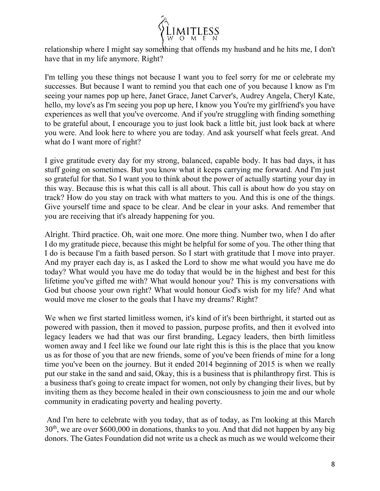

relationship where I might say something that offends my husband and he hits me, I don't have that in my life anymore. Right?

I'm telling you these things not because I want you to feel sorry for me or celebrate my successes. But because I want to remind you that each one of you because I know as I'm seeing your names pop up here, Janet Grace, Janet Carver's, Audrey Angela, Cheryl Kate, hello, my love's as I'm seeing you pop up here, I know you You're my girlfriend's you have experiences as well that you've overcome. And if you're struggling with finding something to be grateful about, I encourage you to just look back a little bit, just look back at where you were. And look here to where you are today. And ask yourself what feels great. And what do I want more of right?

I give gratitude every day for my strong, balanced, capable body. It has bad days, it has stuff going on sometimes. But you know what it keeps carrying me forward. And I'm just so grateful for that. So I want you to think about the power of actually starting your day in this way. Because this is what this call is all about. This call is about how do you stay on track? How do you stay on track with what matters to you. And this is one of the things. Give yourself time and space to be clear. And be clear in your asks. And remember that you are receiving that it's already happening for you.

Alright. Third practice. Oh, wait one more. One more thing. Number two, when I do after I do my gratitude piece, because this might be helpful for some of you. The other thing that I do is because I'm a faith based person. So I start with gratitude that I move into prayer. And my prayer each day is, as I asked the Lord to show me what would you have me do today? What would you have me do today that would be in the highest and best for this lifetime you've gifted me with? What would honour you? This is my conversations with God but choose your own right? What would honour God's wish for my life? And what would move me closer to the goals that I have my dreams? Right?

We when we first started limitless women, it's kind of it's been birthright, it started out as powered with passion, then it moved to passion, purpose profits, and then it evolved into legacy leaders we had that was our first branding, Legacy leaders, then birth limitless women away and I feel like we found our late right this is this is the place that you know us as for those of you that are new friends, some of you've been friends of mine for a long time you've been on the journey. But it ended 2014 beginning of 2015 is when we really put our stake in the sand and said, Okay, this is a business that is philanthropy first. This is a business that's going to create impact for women, not only by changing their lives, but by inviting them as they become healed in their own consciousness to join me and our whole community in eradicating poverty and healing poverty.

And I'm here to celebrate with you today, that as of today, as I'm looking at this March 30<sup>th</sup>, we are over \$600,000 in donations, thanks to you. And that did not happen by any big donors. The Gates Foundation did not write us a check as much as we would welcome their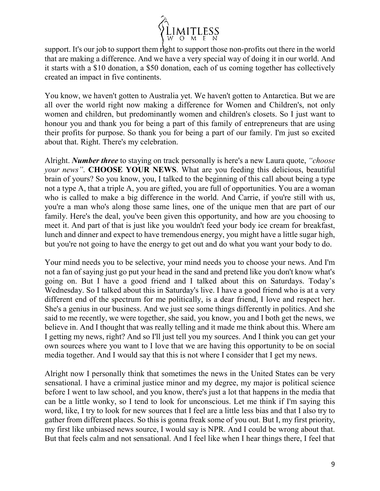

support. It's our job to support them right to support those non-profits out there in the world that are making a difference. And we have a very special way of doing it in our world. And it starts with a \$10 donation, a \$50 donation, each of us coming together has collectively created an impact in five continents.

You know, we haven't gotten to Australia yet. We haven't gotten to Antarctica. But we are all over the world right now making a difference for Women and Children's, not only women and children, but predominantly women and children's closets. So I just want to honour you and thank you for being a part of this family of entrepreneurs that are using their profits for purpose. So thank you for being a part of our family. I'm just so excited about that. Right. There's my celebration.

Alright. *Number three* to staying on track personally is here's a new Laura quote, *"choose your news"*. **CHOOSE YOUR NEWS**. What are you feeding this delicious, beautiful brain of yours? So you know, you, I talked to the beginning of this call about being a type not a type A, that a triple A, you are gifted, you are full of opportunities. You are a woman who is called to make a big difference in the world. And Carrie, if you're still with us, you're a man who's along those same lines, one of the unique men that are part of our family. Here's the deal, you've been given this opportunity, and how are you choosing to meet it. And part of that is just like you wouldn't feed your body ice cream for breakfast, lunch and dinner and expect to have tremendous energy, you might have a little sugar high, but you're not going to have the energy to get out and do what you want your body to do.

Your mind needs you to be selective, your mind needs you to choose your news. And I'm not a fan of saying just go put your head in the sand and pretend like you don't know what's going on. But I have a good friend and I talked about this on Saturdays. Today's Wednesday. So I talked about this in Saturday's live. I have a good friend who is at a very different end of the spectrum for me politically, is a dear friend, I love and respect her. She's a genius in our business. And we just see some things differently in politics. And she said to me recently, we were together, she said, you know, you and I both get the news, we believe in. And I thought that was really telling and it made me think about this. Where am I getting my news, right? And so I'll just tell you my sources. And I think you can get your own sources where you want to I love that we are having this opportunity to be on social media together. And I would say that this is not where I consider that I get my news.

Alright now I personally think that sometimes the news in the United States can be very sensational. I have a criminal justice minor and my degree, my major is political science before I went to law school, and you know, there's just a lot that happens in the media that can be a little wonky, so I tend to look for unconscious. Let me think if I'm saying this word, like, I try to look for new sources that I feel are a little less bias and that I also try to gather from different places. So this is gonna freak some of you out. But I, my first priority, my first like unbiased news source, I would say is NPR. And I could be wrong about that. But that feels calm and not sensational. And I feel like when I hear things there, I feel that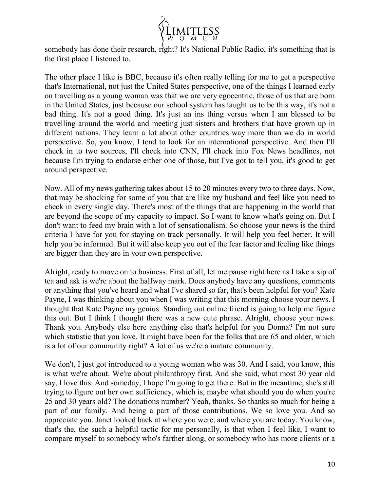

somebody has done their research, right? It's National Public Radio, it's something that is the first place I listened to.

The other place I like is BBC, because it's often really telling for me to get a perspective that's International, not just the United States perspective, one of the things I learned early on travelling as a young woman was that we are very egocentric, those of us that are born in the United States, just because our school system has taught us to be this way, it's not a bad thing. It's not a good thing. It's just an ins thing versus when I am blessed to be travelling around the world and meeting just sisters and brothers that have grown up in different nations. They learn a lot about other countries way more than we do in world perspective. So, you know, I tend to look for an international perspective. And then I'll check in to two sources, I'll check into CNN, I'll check into Fox News headlines, not because I'm trying to endorse either one of those, but I've got to tell you, it's good to get around perspective.

Now. All of my news gathering takes about 15 to 20 minutes every two to three days. Now, that may be shocking for some of you that are like my husband and feel like you need to check in every single day. There's most of the things that are happening in the world that are beyond the scope of my capacity to impact. So I want to know what's going on. But I don't want to feed my brain with a lot of sensationalism. So choose your news is the third criteria I have for you for staying on track personally. It will help you feel better. It will help you be informed. But it will also keep you out of the fear factor and feeling like things are bigger than they are in your own perspective.

Alright, ready to move on to business. First of all, let me pause right here as I take a sip of tea and ask is we're about the halfway mark. Does anybody have any questions, comments or anything that you've heard and what I've shared so far, that's been helpful for you? Kate Payne, I was thinking about you when I was writing that this morning choose your news. I thought that Kate Payne my genius. Standing out online friend is going to help me figure this out. But I think I thought there was a new cute phrase. Alright, choose your news. Thank you. Anybody else here anything else that's helpful for you Donna? I'm not sure which statistic that you love. It might have been for the folks that are 65 and older, which is a lot of our community right? A lot of us we're a mature community.

We don't, I just got introduced to a young woman who was 30. And I said, you know, this is what we're about. We're about philanthropy first. And she said, what most 30 year old say, I love this. And someday, I hope I'm going to get there. But in the meantime, she's still trying to figure out her own sufficiency, which is, maybe what should you do when you're 25 and 30 years old? The donations number? Yeah, thanks. So thanks so much for being a part of our family. And being a part of those contributions. We so love you. And so appreciate you. Janet looked back at where you were, and where you are today. You know, that's the, the such a helpful tactic for me personally, is that when I feel like, I want to compare myself to somebody who's farther along, or somebody who has more clients or a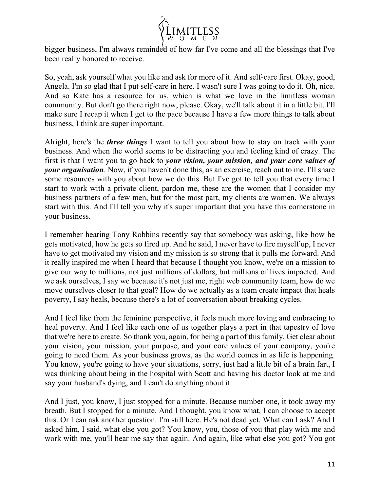

bigger business, I'm always reminded of how far I've come and all the blessings that I've been really honored to receive.

So, yeah, ask yourself what you like and ask for more of it. And self-care first. Okay, good, Angela. I'm so glad that I put self-care in here. I wasn't sure I was going to do it. Oh, nice. And so Kate has a resource for us, which is what we love in the limitless woman community. But don't go there right now, please. Okay, we'll talk about it in a little bit. I'll make sure I recap it when I get to the pace because I have a few more things to talk about business, I think are super important.

Alright, here's the *three things* I want to tell you about how to stay on track with your business. And when the world seems to be distracting you and feeling kind of crazy. The first is that I want you to go back to *your vision, your mission, and your core values of your organisation*. Now, if you haven't done this, as an exercise, reach out to me, I'll share some resources with you about how we do this. But I've got to tell you that every time I start to work with a private client, pardon me, these are the women that I consider my business partners of a few men, but for the most part, my clients are women. We always start with this. And I'll tell you why it's super important that you have this cornerstone in your business.

I remember hearing Tony Robbins recently say that somebody was asking, like how he gets motivated, how he gets so fired up. And he said, I never have to fire myself up, I never have to get motivated my vision and my mission is so strong that it pulls me forward. And it really inspired me when I heard that because I thought you know, we're on a mission to give our way to millions, not just millions of dollars, but millions of lives impacted. And we ask ourselves, I say we because it's not just me, right web community team, how do we move ourselves closer to that goal? How do we actually as a team create impact that heals poverty, I say heals, because there's a lot of conversation about breaking cycles.

And I feel like from the feminine perspective, it feels much more loving and embracing to heal poverty. And I feel like each one of us together plays a part in that tapestry of love that we're here to create. So thank you, again, for being a part of this family. Get clear about your vision, your mission, your purpose, and your core values of your company, you're going to need them. As your business grows, as the world comes in as life is happening. You know, you're going to have your situations, sorry, just had a little bit of a brain fart, I was thinking about being in the hospital with Scott and having his doctor look at me and say your husband's dying, and I can't do anything about it.

And I just, you know, I just stopped for a minute. Because number one, it took away my breath. But I stopped for a minute. And I thought, you know what, I can choose to accept this. Or I can ask another question. I'm still here. He's not dead yet. What can I ask? And I asked him, I said, what else you got? You know, you, those of you that play with me and work with me, you'll hear me say that again. And again, like what else you got? You got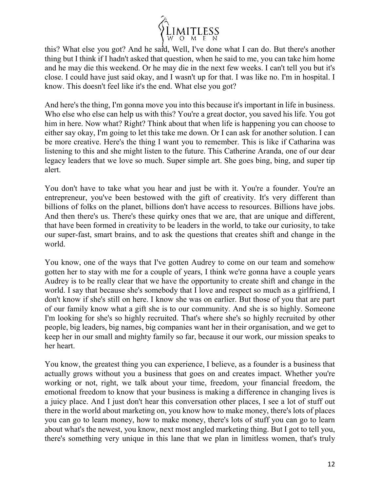

this? What else you got? And he said, Well, I've done what I can do. But there's another thing but I think if I hadn't asked that question, when he said to me, you can take him home and he may die this weekend. Or he may die in the next few weeks. I can't tell you but it's close. I could have just said okay, and I wasn't up for that. I was like no. I'm in hospital. I know. This doesn't feel like it's the end. What else you got?

And here's the thing, I'm gonna move you into this because it's important in life in business. Who else who else can help us with this? You're a great doctor, you saved his life. You got him in here. Now what? Right? Think about that when life is happening you can choose to either say okay, I'm going to let this take me down. Or I can ask for another solution. I can be more creative. Here's the thing I want you to remember. This is like if Catharina was listening to this and she might listen to the future. This Catherine Aranda, one of our dear legacy leaders that we love so much. Super simple art. She goes bing, bing, and super tip alert.

You don't have to take what you hear and just be with it. You're a founder. You're an entrepreneur, you've been bestowed with the gift of creativity. It's very different than billions of folks on the planet, billions don't have access to resources. Billions have jobs. And then there's us. There's these quirky ones that we are, that are unique and different, that have been formed in creativity to be leaders in the world, to take our curiosity, to take our super-fast, smart brains, and to ask the questions that creates shift and change in the world.

You know, one of the ways that I've gotten Audrey to come on our team and somehow gotten her to stay with me for a couple of years, I think we're gonna have a couple years Audrey is to be really clear that we have the opportunity to create shift and change in the world. I say that because she's somebody that I love and respect so much as a girlfriend, I don't know if she's still on here. I know she was on earlier. But those of you that are part of our family know what a gift she is to our community. And she is so highly. Someone I'm looking for she's so highly recruited. That's where she's so highly recruited by other people, big leaders, big names, big companies want her in their organisation, and we get to keep her in our small and mighty family so far, because it our work, our mission speaks to her heart.

You know, the greatest thing you can experience, I believe, as a founder is a business that actually grows without you a business that goes on and creates impact. Whether you're working or not, right, we talk about your time, freedom, your financial freedom, the emotional freedom to know that your business is making a difference in changing lives is a juicy place. And I just don't hear this conversation other places, I see a lot of stuff out there in the world about marketing on, you know how to make money, there's lots of places you can go to learn money, how to make money, there's lots of stuff you can go to learn about what's the newest, you know, next most angled marketing thing. But I got to tell you, there's something very unique in this lane that we plan in limitless women, that's truly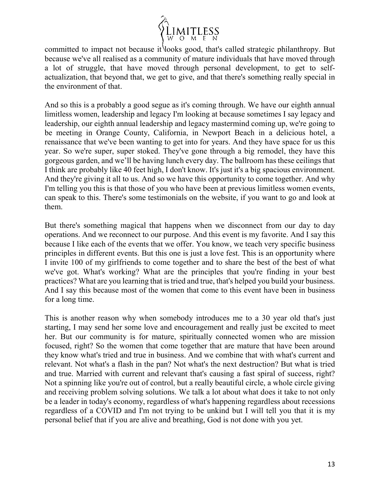

committed to impact not because it looks good, that's called strategic philanthropy. But because we've all realised as a community of mature individuals that have moved through a lot of struggle, that have moved through personal development, to get to selfactualization, that beyond that, we get to give, and that there's something really special in the environment of that.

And so this is a probably a good segue as it's coming through. We have our eighth annual limitless women, leadership and legacy I'm looking at because sometimes I say legacy and leadership, our eighth annual leadership and legacy mastermind coming up, we're going to be meeting in Orange County, California, in Newport Beach in a delicious hotel, a renaissance that we've been wanting to get into for years. And they have space for us this year. So we're super, super stoked. They've gone through a big remodel, they have this gorgeous garden, and we'll be having lunch every day. The ballroom has these ceilings that I think are probably like 40 feet high, I don't know. It's just it's a big spacious environment. And they're giving it all to us. And so we have this opportunity to come together. And why I'm telling you this is that those of you who have been at previous limitless women events, can speak to this. There's some testimonials on the website, if you want to go and look at them.

But there's something magical that happens when we disconnect from our day to day operations. And we reconnect to our purpose. And this event is my favorite. And I say this because I like each of the events that we offer. You know, we teach very specific business principles in different events. But this one is just a love fest. This is an opportunity where I invite 100 of my girlfriends to come together and to share the best of the best of what we've got. What's working? What are the principles that you're finding in your best practices? What are you learning that is tried and true, that's helped you build your business. And I say this because most of the women that come to this event have been in business for a long time.

This is another reason why when somebody introduces me to a 30 year old that's just starting, I may send her some love and encouragement and really just be excited to meet her. But our community is for mature, spiritually connected women who are mission focused, right? So the women that come together that are mature that have been around they know what's tried and true in business. And we combine that with what's current and relevant. Not what's a flash in the pan? Not what's the next destruction? But what is tried and true. Married with current and relevant that's causing a fast spiral of success, right? Not a spinning like you're out of control, but a really beautiful circle, a whole circle giving and receiving problem solving solutions. We talk a lot about what does it take to not only be a leader in today's economy, regardless of what's happening regardless about recessions regardless of a COVID and I'm not trying to be unkind but I will tell you that it is my personal belief that if you are alive and breathing, God is not done with you yet.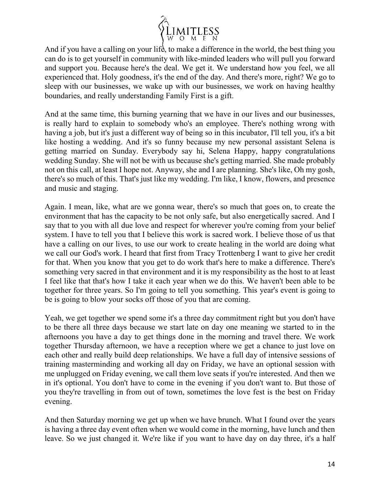

And if you have a calling on your life, to make a difference in the world, the best thing you can do is to get yourself in community with like-minded leaders who will pull you forward and support you. Because here's the deal. We get it. We understand how you feel, we all experienced that. Holy goodness, it's the end of the day. And there's more, right? We go to sleep with our businesses, we wake up with our businesses, we work on having healthy boundaries, and really understanding Family First is a gift.

And at the same time, this burning yearning that we have in our lives and our businesses, is really hard to explain to somebody who's an employee. There's nothing wrong with having a job, but it's just a different way of being so in this incubator, I'll tell you, it's a bit like hosting a wedding. And it's so funny because my new personal assistant Selena is getting married on Sunday. Everybody say hi, Selena Happy, happy congratulations wedding Sunday. She will not be with us because she's getting married. She made probably not on this call, at least I hope not. Anyway, she and I are planning. She's like, Oh my gosh, there's so much of this. That's just like my wedding. I'm like, I know, flowers, and presence and music and staging.

Again. I mean, like, what are we gonna wear, there's so much that goes on, to create the environment that has the capacity to be not only safe, but also energetically sacred. And I say that to you with all due love and respect for wherever you're coming from your belief system. I have to tell you that I believe this work is sacred work. I believe those of us that have a calling on our lives, to use our work to create healing in the world are doing what we call our God's work. I heard that first from Tracy Trottenberg I want to give her credit for that. When you know that you get to do work that's here to make a difference. There's something very sacred in that environment and it is my responsibility as the host to at least I feel like that that's how I take it each year when we do this. We haven't been able to be together for three years. So I'm going to tell you something. This year's event is going to be is going to blow your socks off those of you that are coming.

Yeah, we get together we spend some it's a three day commitment right but you don't have to be there all three days because we start late on day one meaning we started to in the afternoons you have a day to get things done in the morning and travel there. We work together Thursday afternoon, we have a reception where we get a chance to just love on each other and really build deep relationships. We have a full day of intensive sessions of training masterminding and working all day on Friday, we have an optional session with me unplugged on Friday evening, we call them love seats if you're interested. And then we in it's optional. You don't have to come in the evening if you don't want to. But those of you they're travelling in from out of town, sometimes the love fest is the best on Friday evening.

And then Saturday morning we get up when we have brunch. What I found over the years is having a three day event often when we would come in the morning, have lunch and then leave. So we just changed it. We're like if you want to have day on day three, it's a half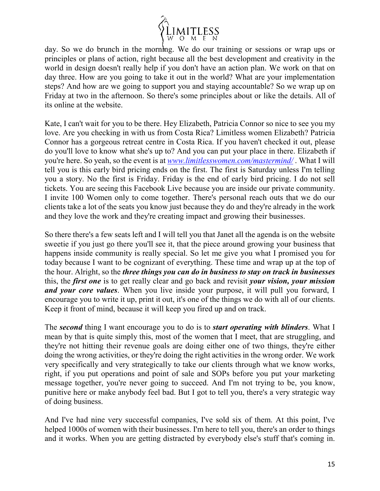

day. So we do brunch in the morning. We do our training or sessions or wrap ups or principles or plans of action, right because all the best development and creativity in the world in design doesn't really help if you don't have an action plan. We work on that on day three. How are you going to take it out in the world? What are your implementation steps? And how are we going to support you and staying accountable? So we wrap up on Friday at two in the afternoon. So there's some principles about or like the details. All of its online at the website.

Kate, I can't wait for you to be there. Hey Elizabeth, Patricia Connor so nice to see you my love. Are you checking in with us from Costa Rica? Limitless women Elizabeth? Patricia Connor has a gorgeous retreat centre in Costa Rica. If you haven't checked it out, please do you'll love to know what she's up to? And you can put your place in there. Elizabeth if you're here. So yeah, so the event is at *[www.limitlesswomen.com/mastermind/](http://www.limitlesswomen.com/mastermind/)* . What I will tell you is this early bird pricing ends on the first. The first is Saturday unless I'm telling you a story. No the first is Friday. Friday is the end of early bird pricing. I do not sell tickets. You are seeing this Facebook Live because you are inside our private community. I invite 100 Women only to come together. There's personal reach outs that we do our clients take a lot of the seats you know just because they do and they're already in the work and they love the work and they're creating impact and growing their businesses.

So there there's a few seats left and I will tell you that Janet all the agenda is on the website sweetie if you just go there you'll see it, that the piece around growing your business that happens inside community is really special. So let me give you what I promised you for today because I want to be cognizant of everything. These time and wrap up at the top of the hour. Alright, so the *three things you can do in business to stay on track in businesses* this, the *first one* is to get really clear and go back and revisit *your vision, your mission and your core values*. When you live inside your purpose, it will pull you forward, I encourage you to write it up, print it out, it's one of the things we do with all of our clients. Keep it front of mind, because it will keep you fired up and on track.

The *second* thing I want encourage you to do is to *start operating with blinders*. What I mean by that is quite simply this, most of the women that I meet, that are struggling, and they're not hitting their revenue goals are doing either one of two things, they're either doing the wrong activities, or they're doing the right activities in the wrong order. We work very specifically and very strategically to take our clients through what we know works, right, if you put operations and point of sale and SOPs before you put your marketing message together, you're never going to succeed. And I'm not trying to be, you know, punitive here or make anybody feel bad. But I got to tell you, there's a very strategic way of doing business.

And I've had nine very successful companies, I've sold six of them. At this point, I've helped 1000s of women with their businesses. I'm here to tell you, there's an order to things and it works. When you are getting distracted by everybody else's stuff that's coming in.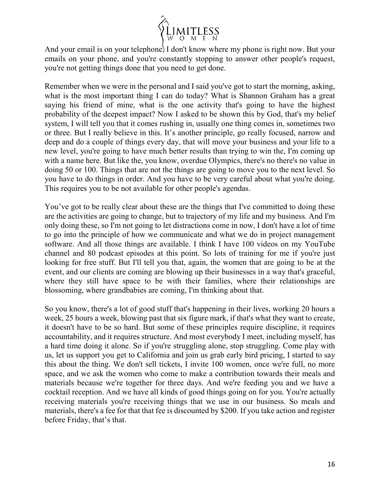

And your email is on your telephone, I don't know where my phone is right now. But your emails on your phone, and you're constantly stopping to answer other people's request, you're not getting things done that you need to get done.

Remember when we were in the personal and I said you've got to start the morning, asking, what is the most important thing I can do today? What is Shannon Graham has a great saying his friend of mine, what is the one activity that's going to have the highest probability of the deepest impact? Now I asked to be shown this by God, that's my belief system, I will tell you that it comes rushing in, usually one thing comes in, sometimes two or three. But I really believe in this. It's another principle, go really focused, narrow and deep and do a couple of things every day, that will move your business and your life to a new level, you're going to have much better results than trying to win the, I'm coming up with a name here. But like the, you know, overdue Olympics, there's no there's no value in doing 50 or 100. Things that are not the things are going to move you to the next level. So you have to do things in order. And you have to be very careful about what you're doing. This requires you to be not available for other people's agendas.

You've got to be really clear about these are the things that I've committed to doing these are the activities are going to change, but to trajectory of my life and my business. And I'm only doing these, so I'm not going to let distractions come in now, I don't have a lot of time to go into the principle of how we communicate and what we do in project management software. And all those things are available. I think I have 100 videos on my YouTube channel and 80 podcast episodes at this point. So lots of training for me if you're just looking for free stuff. But I'll tell you that, again, the women that are going to be at the event, and our clients are coming are blowing up their businesses in a way that's graceful, where they still have space to be with their families, where their relationships are blossoming, where grandbabies are coming, I'm thinking about that.

So you know, there's a lot of good stuff that's happening in their lives, working 20 hours a week, 25 hours a week, blowing past that six figure mark, if that's what they want to create, it doesn't have to be so hard. But some of these principles require discipline, it requires accountability, and it requires structure. And most everybody I meet, including myself, has a hard time doing it alone. So if you're struggling alone, stop struggling. Come play with us, let us support you get to California and join us grab early bird pricing, I started to say this about the thing. We don't sell tickets, I invite 100 women, once we're full, no more space, and we ask the women who come to make a contribution towards their meals and materials because we're together for three days. And we're feeding you and we have a cocktail reception. And we have all kinds of good things going on for you. You're actually receiving materials you're receiving things that we use in our business. So meals and materials, there's a fee for that that fee is discounted by \$200. If you take action and register before Friday, that's that.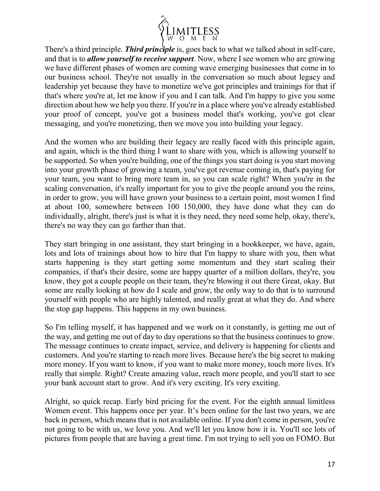

There's a third principle. *Third principle* is, goes back to what we talked about in self-care, and that is to *allow yourself to receive support*. Now, where I see women who are growing we have different phases of women are coming wave emerging businesses that come in to our business school. They're not usually in the conversation so much about legacy and leadership yet because they have to monetize we've got principles and trainings for that if that's where you're at, let me know if you and I can talk. And I'm happy to give you some direction about how we help you there. If you're in a place where you've already established your proof of concept, you've got a business model that's working, you've got clear messaging, and you're monetizing, then we move you into building your legacy.

And the women who are building their legacy are really faced with this principle again, and again, which is the third thing I want to share with you, which is allowing yourself to be supported. So when you're building, one of the things you start doing is you start moving into your growth phase of growing a team, you've got revenue coming in, that's paying for your team, you want to bring more team in, so you can scale right? When you're in the scaling conversation, it's really important for you to give the people around you the reins, in order to grow, you will have grown your business to a certain point, most women I find at about 100, somewhere between 100 150,000, they have done what they can do individually, alright, there's just is what it is they need, they need some help, okay, there's, there's no way they can go farther than that.

They start bringing in one assistant, they start bringing in a bookkeeper, we have, again, lots and lots of trainings about how to hire that I'm happy to share with you, then what starts happening is they start getting some momentum and they start scaling their companies, if that's their desire, some are happy quarter of a million dollars, they're, you know, they got a couple people on their team, they're blowing it out there Great, okay. But some are really looking at how do I scale and grow, the only way to do that is to surround yourself with people who are highly talented, and really great at what they do. And where the stop gap happens. This happens in my own business.

So I'm telling myself, it has happened and we work on it constantly, is getting me out of the way, and getting me out of day to day operations so that the business continues to grow. The message continues to create impact, service, and delivery is happening for clients and customers. And you're starting to reach more lives. Because here's the big secret to making more money. If you want to know, if you want to make more money, touch more lives. It's really that simple. Right? Create amazing value, reach more people, and you'll start to see your bank account start to grow. And it's very exciting. It's very exciting.

Alright, so quick recap. Early bird pricing for the event. For the eighth annual limitless Women event. This happens once per year. It's been online for the last two years, we are back in person, which means that is not available online. If you don't come in person, you're not going to be with us, we love you. And we'll let you know how it is. You'll see lots of pictures from people that are having a great time. I'm not trying to sell you on FOMO. But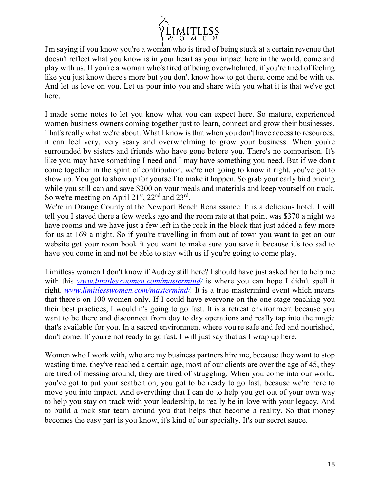

I'm saying if you know you're a woman who is tired of being stuck at a certain revenue that doesn't reflect what you know is in your heart as your impact here in the world, come and play with us. If you're a woman who's tired of being overwhelmed, if you're tired of feeling like you just know there's more but you don't know how to get there, come and be with us. And let us love on you. Let us pour into you and share with you what it is that we've got here.

I made some notes to let you know what you can expect here. So mature, experienced women business owners coming together just to learn, connect and grow their businesses. That's really what we're about. What I know is that when you don't have access to resources, it can feel very, very scary and overwhelming to grow your business. When you're surrounded by sisters and friends who have gone before you. There's no comparison. It's like you may have something I need and I may have something you need. But if we don't come together in the spirit of contribution, we're not going to know it right, you've got to show up. You got to show up for yourself to make it happen. So grab your early bird pricing while you still can and save \$200 on your meals and materials and keep yourself on track. So we're meeting on April  $21<sup>st</sup>$ ,  $22<sup>nd</sup>$  and  $23<sup>rd</sup>$ .

We're in Orange County at the Newport Beach Renaissance. It is a delicious hotel. I will tell you I stayed there a few weeks ago and the room rate at that point was \$370 a night we have rooms and we have just a few left in the rock in the block that just added a few more for us at 169 a night. So if you're travelling in from out of town you want to get on our website get your room book it you want to make sure you save it because it's too sad to have you come in and not be able to stay with us if you're going to come play.

Limitless women I don't know if Audrey still here? I should have just asked her to help me with this *[www.limitlesswomen.com/mastermind/](http://www.limitlesswomen.com/mastermind)* is where you can hope I didn't spell it right. *[www.limitlesswomen.com/mastermind/](http://www.limitlesswomen.com/mastermind).* It is a true mastermind event which means that there's on 100 women only. If I could have everyone on the one stage teaching you their best practices, I would it's going to go fast. It is a retreat environment because you want to be there and disconnect from day to day operations and really tap into the magic that's available for you. In a sacred environment where you're safe and fed and nourished, don't come. If you're not ready to go fast, I will just say that as I wrap up here.

Women who I work with, who are my business partners hire me, because they want to stop wasting time, they've reached a certain age, most of our clients are over the age of 45, they are tired of messing around, they are tired of struggling. When you come into our world, you've got to put your seatbelt on, you got to be ready to go fast, because we're here to move you into impact. And everything that I can do to help you get out of your own way to help you stay on track with your leadership, to really be in love with your legacy. And to build a rock star team around you that helps that become a reality. So that money becomes the easy part is you know, it's kind of our specialty. It's our secret sauce.